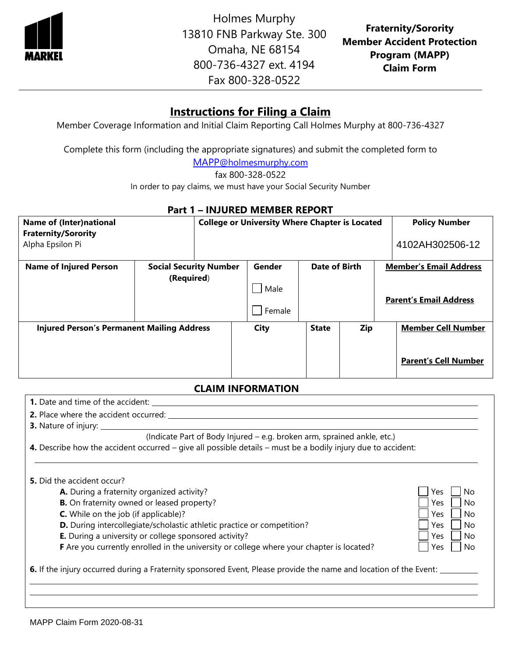

Holmes Murphy 13810 FNB Parkway Ste. 300 Omaha, NE 68154 800-736-4327 ext. 4194 Fax 800-328-0522

**Fraternity/Sorority Member Accident Protection Program (MAPP) Claim Form**

# **Instructions for Filing a Claim**

Member Coverage Information and Initial Claim Reporting Call Holmes Murphy at 800-736-4327

Complete this form (including the appropriate signatures) and submit the completed form to

MAPP[@holmesmurphy.com](mailto:MAPP@holmesmurphy.com)

fax 800-328-0522

In order to pay claims, we must have your Social Security Number

### **Part 1 – INJURED MEMBER REPORT**

| <b>Name of (Inter)national</b><br><b>Fraternity/Sorority</b><br>Alpha Epsilon Pi |                                             | <b>College or University Where Chapter is Located</b> |             |                                                                |     | <b>Policy Number</b><br>4102AH302506-12 |                                                          |
|----------------------------------------------------------------------------------|---------------------------------------------|-------------------------------------------------------|-------------|----------------------------------------------------------------|-----|-----------------------------------------|----------------------------------------------------------|
| <b>Name of Injured Person</b>                                                    | <b>Social Security Number</b><br>(Required) | Date of Birth<br>Gender<br>Male<br>Female             |             | <b>Member's Email Address</b><br><b>Parent's Email Address</b> |     |                                         |                                                          |
| <b>Injured Person's Permanent Mailing Address</b>                                |                                             |                                                       | <b>City</b> | <b>State</b>                                                   | Zip |                                         | <b>Member Cell Number</b><br><b>Parent's Cell Number</b> |

### **CLAIM INFORMATION**

| <b>1.</b> Date and time of the accident: <u>Internal property</u> and the accident:                                                                                                                                                                                                                                                                                                                                       |                                                                            |
|---------------------------------------------------------------------------------------------------------------------------------------------------------------------------------------------------------------------------------------------------------------------------------------------------------------------------------------------------------------------------------------------------------------------------|----------------------------------------------------------------------------|
|                                                                                                                                                                                                                                                                                                                                                                                                                           |                                                                            |
| <b>3.</b> Nature of injury:                                                                                                                                                                                                                                                                                                                                                                                               |                                                                            |
| (Indicate Part of Body Injured - e.g. broken arm, sprained ankle, etc.)                                                                                                                                                                                                                                                                                                                                                   |                                                                            |
| 4. Describe how the accident occurred – give all possible details – must be a bodily injury due to accident:                                                                                                                                                                                                                                                                                                              |                                                                            |
| 5. Did the accident occur?<br>A. During a fraternity organized activity?<br><b>B.</b> On fraternity owned or leased property?<br><b>C.</b> While on the job (if applicable)?<br>D. During intercollegiate/scholastic athletic practice or competition?<br><b>E.</b> During a university or college sponsored activity?<br><b>F</b> Are you currently enrolled in the university or college where your chapter is located? | Yes<br>No<br>Yes<br>No<br>Yes<br>No<br>Yes<br>No<br>Yes<br>No<br>No<br>Yes |
| 6. If the injury occurred during a Fraternity sponsored Event, Please provide the name and location of the Event: ____                                                                                                                                                                                                                                                                                                    |                                                                            |
|                                                                                                                                                                                                                                                                                                                                                                                                                           |                                                                            |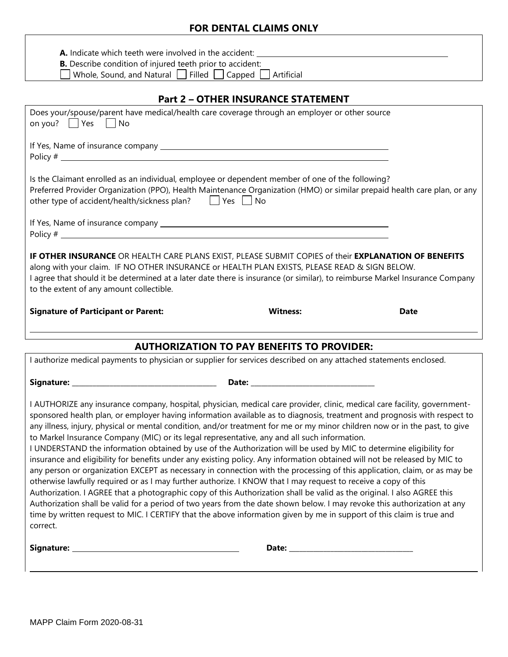## **FOR DENTAL CLAIMS ONLY**

| A. Indicate which teeth were involved in the accident:                                                                                                                                                                                                                                                                                                                                                                                                                                                                                                                                                                                                                                                                                                                                                                                                                                                                                                                                                                                                                                                                                                                                                                                                                                                                                                                                                |                                                   |             |
|-------------------------------------------------------------------------------------------------------------------------------------------------------------------------------------------------------------------------------------------------------------------------------------------------------------------------------------------------------------------------------------------------------------------------------------------------------------------------------------------------------------------------------------------------------------------------------------------------------------------------------------------------------------------------------------------------------------------------------------------------------------------------------------------------------------------------------------------------------------------------------------------------------------------------------------------------------------------------------------------------------------------------------------------------------------------------------------------------------------------------------------------------------------------------------------------------------------------------------------------------------------------------------------------------------------------------------------------------------------------------------------------------------|---------------------------------------------------|-------------|
| <b>B.</b> Describe condition of injured teeth prior to accident:                                                                                                                                                                                                                                                                                                                                                                                                                                                                                                                                                                                                                                                                                                                                                                                                                                                                                                                                                                                                                                                                                                                                                                                                                                                                                                                                      |                                                   |             |
| Whole, Sound, and Natural $\Box$ Filled $\Box$ Capped $\Box$ Artificial                                                                                                                                                                                                                                                                                                                                                                                                                                                                                                                                                                                                                                                                                                                                                                                                                                                                                                                                                                                                                                                                                                                                                                                                                                                                                                                               |                                                   |             |
|                                                                                                                                                                                                                                                                                                                                                                                                                                                                                                                                                                                                                                                                                                                                                                                                                                                                                                                                                                                                                                                                                                                                                                                                                                                                                                                                                                                                       | <b>Part 2 - OTHER INSURANCE STATEMENT</b>         |             |
| Does your/spouse/parent have medical/health care coverage through an employer or other source<br>on you? $\Box$ Yes $\Box$ No                                                                                                                                                                                                                                                                                                                                                                                                                                                                                                                                                                                                                                                                                                                                                                                                                                                                                                                                                                                                                                                                                                                                                                                                                                                                         |                                                   |             |
|                                                                                                                                                                                                                                                                                                                                                                                                                                                                                                                                                                                                                                                                                                                                                                                                                                                                                                                                                                                                                                                                                                                                                                                                                                                                                                                                                                                                       |                                                   |             |
| Is the Claimant enrolled as an individual, employee or dependent member of one of the following?<br>Preferred Provider Organization (PPO), Health Maintenance Organization (HMO) or similar prepaid health care plan, or any<br>other type of accident/health/sickness plan?   Yes   No                                                                                                                                                                                                                                                                                                                                                                                                                                                                                                                                                                                                                                                                                                                                                                                                                                                                                                                                                                                                                                                                                                               |                                                   |             |
|                                                                                                                                                                                                                                                                                                                                                                                                                                                                                                                                                                                                                                                                                                                                                                                                                                                                                                                                                                                                                                                                                                                                                                                                                                                                                                                                                                                                       |                                                   |             |
| IF OTHER INSURANCE OR HEALTH CARE PLANS EXIST, PLEASE SUBMIT COPIES of their EXPLANATION OF BENEFITS<br>along with your claim. IF NO OTHER INSURANCE or HEALTH PLAN EXISTS, PLEASE READ & SIGN BELOW.<br>I agree that should it be determined at a later date there is insurance (or similar), to reimburse Markel Insurance Company<br>to the extent of any amount collectible.                                                                                                                                                                                                                                                                                                                                                                                                                                                                                                                                                                                                                                                                                                                                                                                                                                                                                                                                                                                                                      |                                                   |             |
|                                                                                                                                                                                                                                                                                                                                                                                                                                                                                                                                                                                                                                                                                                                                                                                                                                                                                                                                                                                                                                                                                                                                                                                                                                                                                                                                                                                                       |                                                   |             |
| <b>Signature of Participant or Parent:</b>                                                                                                                                                                                                                                                                                                                                                                                                                                                                                                                                                                                                                                                                                                                                                                                                                                                                                                                                                                                                                                                                                                                                                                                                                                                                                                                                                            | <b>Witness:</b>                                   | <b>Date</b> |
|                                                                                                                                                                                                                                                                                                                                                                                                                                                                                                                                                                                                                                                                                                                                                                                                                                                                                                                                                                                                                                                                                                                                                                                                                                                                                                                                                                                                       |                                                   |             |
| I authorize medical payments to physician or supplier for services described on any attached statements enclosed.                                                                                                                                                                                                                                                                                                                                                                                                                                                                                                                                                                                                                                                                                                                                                                                                                                                                                                                                                                                                                                                                                                                                                                                                                                                                                     | <b>AUTHORIZATION TO PAY BENEFITS TO PROVIDER:</b> |             |
|                                                                                                                                                                                                                                                                                                                                                                                                                                                                                                                                                                                                                                                                                                                                                                                                                                                                                                                                                                                                                                                                                                                                                                                                                                                                                                                                                                                                       |                                                   |             |
| Signature: ____<br>I AUTHORIZE any insurance company, hospital, physician, medical care provider, clinic, medical care facility, government-<br>sponsored health plan, or employer having information available as to diagnosis, treatment and prognosis with respect to<br>any illness, injury, physical or mental condition, and/or treatment for me or my minor children now or in the past, to give<br>to Markel Insurance Company (MIC) or its legal representative, any and all such information.<br>I UNDERSTAND the information obtained by use of the Authorization will be used by MIC to determine eligibility for<br>insurance and eligibility for benefits under any existing policy. Any information obtained will not be released by MIC to<br>any person or organization EXCEPT as necessary in connection with the processing of this application, claim, or as may be<br>otherwise lawfully required or as I may further authorize. I KNOW that I may request to receive a copy of this<br>Authorization. I AGREE that a photographic copy of this Authorization shall be valid as the original. I also AGREE this<br>Authorization shall be valid for a period of two years from the date shown below. I may revoke this authorization at any<br>time by written request to MIC. I CERTIFY that the above information given by me in support of this claim is true and<br>correct. |                                                   |             |
|                                                                                                                                                                                                                                                                                                                                                                                                                                                                                                                                                                                                                                                                                                                                                                                                                                                                                                                                                                                                                                                                                                                                                                                                                                                                                                                                                                                                       |                                                   |             |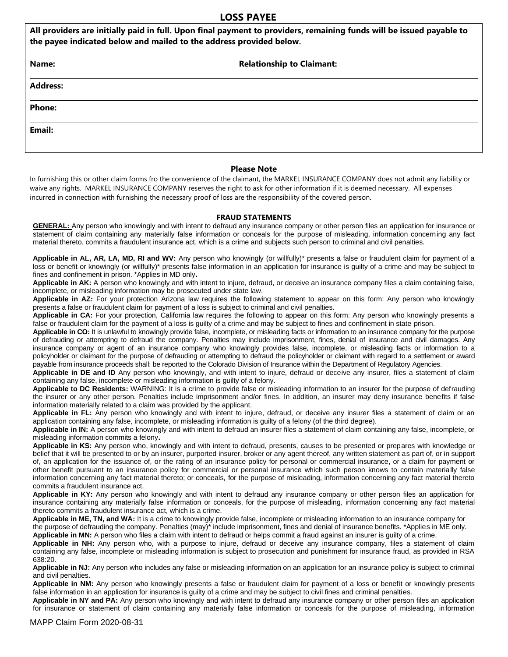#### **LOSS PAYEE**

| All providers are initially paid in full. Upon final payment to providers, remaining funds will be issued payable to<br>the payee indicated below and mailed to the address provided below. |                                  |  |  |  |
|---------------------------------------------------------------------------------------------------------------------------------------------------------------------------------------------|----------------------------------|--|--|--|
| Name:                                                                                                                                                                                       | <b>Relationship to Claimant:</b> |  |  |  |
| <b>Address:</b>                                                                                                                                                                             |                                  |  |  |  |
| <b>Phone:</b>                                                                                                                                                                               |                                  |  |  |  |
| Email:                                                                                                                                                                                      |                                  |  |  |  |
|                                                                                                                                                                                             |                                  |  |  |  |

#### **Please Note**

In furnishing this or other claim forms fro the convenience of the claimant, the MARKEL INSURANCE COMPANY does not admit any liability or waive any rights. MARKEL INSURANCE COMPANY reserves the right to ask for other information if it is deemed necessary. All expenses incurred in connection with furnishing the necessary proof of loss are the responsibility of the covered person.

#### **FRAUD STATEMENTS**

**GENERAL:** Any person who knowingly and with intent to defraud any insurance company or other person files an application for insurance or statement of claim containing any materially false information or conceals for the purpose of misleading, information concerning any fact material thereto, commits a fraudulent insurance act, which is a crime and subjects such person to criminal and civil penalties.

**Applicable in AL, AR, LA, MD, RI and WV:** Any person who knowingly (or willfully)\* presents a false or fraudulent claim for payment of a loss or benefit or knowingly (or willfully)\* presents false information in an application for insurance is guilty of a crime and may be subject to fines and confinement in prison. \*Applies in MD only**.**

**Applicable in AK:** A person who knowingly and with intent to injure, defraud, or deceive an insurance company files a claim containing false, incomplete, or misleading information may be prosecuted under state law.

**Applicable in AZ:** For your protection Arizona law requires the following statement to appear on this form: Any person who knowingly presents a false or fraudulent claim for payment of a loss is subject to criminal and civil penalties.

**Applicable in CA:** For your protection, California law requires the following to appear on this form: Any person who knowingly presents a false or fraudulent claim for the payment of a loss is guilty of a crime and may be subject to fines and confinement in state prison.

**Applicable in CO:** It is unlawful to knowingly provide false, incomplete, or misleading facts or information to an insurance company for the purpose of defrauding or attempting to defraud the company. Penalties may include imprisonment, fines, denial of insurance and civil damages. Any insurance company or agent of an insurance company who knowingly provides false, incomplete, or misleading facts or information to a policyholder or claimant for the purpose of defrauding or attempting to defraud the policyholder or claimant with regard to a settlement or award payable from insurance proceeds shall: be reported to the Colorado Division of Insurance within the Department of Regulatory Agencies.

**Applicable in DE and ID** Any person who knowingly, and with intent to injure, defraud or deceive any insurer, files a statement of claim containing any false, incomplete or misleading information is guilty of a felony.

**Applicable to DC Residents:** WARNING: It is a crime to provide false or misleading information to an insurer for the purpose of defrauding the insurer or any other person. Penalties include imprisonment and/or fines. In addition, an insurer may deny insurance benefits if false information materially related to a claim was provided by the applicant.

**Applicable in FL:** Any person who knowingly and with intent to injure, defraud, or deceive any insurer files a statement of claim or an application containing any false, incomplete, or misleading information is guilty of a felony (of the third degree).

**Applicable in IN:** A person who knowingly and with intent to defraud an insurer files a statement of claim containing any false, incomplete, or misleading information commits a felony**.**

**Applicable in KS:** Any person who, knowingly and with intent to defraud, presents, causes to be presented or prepares with knowledge or belief that it will be presented to or by an insurer, purported insurer, broker or any agent thereof, any written statement as part of, or in support of, an application for the issuance of, or the rating of an insurance policy for personal or commercial insurance, or a claim for payment or other benefit pursuant to an insurance policy for commercial or personal insurance which such person knows to contain materially false information concerning any fact material thereto; or conceals, for the purpose of misleading, information concerning any fact material thereto commits a fraudulent insurance act.

**Applicable in KY:** Any person who knowingly and with intent to defraud any insurance company or other person files an application for insurance containing any materially false information or conceals, for the purpose of misleading, information concerning any fact material thereto commits a fraudulent insurance act, which is a crime.

**Applicable in ME, TN, and WA:** It is a crime to knowingly provide false, incomplete or misleading information to an insurance company for the purpose of defrauding the company. Penalties (may)\* include imprisonment, fines and denial of insurance benefits. \*Applies in ME only.

**Applicable in MN:** A person who files a claim with intent to defraud or helps commit a fraud against an insurer is guilty of a crime.

**Applicable in NH:** Any person who, with a purpose to injure, defraud or deceive any insurance company, files a statement of claim containing any false, incomplete or misleading information is subject to prosecution and punishment for insurance fraud, as provided in RSA 638:20.

**Applicable in NJ:** Any person who includes any false or misleading information on an application for an insurance policy is subject to criminal and civil penalties.

**Applicable in NM:** Any person who knowingly presents a false or fraudulent claim for payment of a loss or benefit or knowingly presents false information in an application for insurance is guilty of a crime and may be subject to civil fines and criminal penalties.

**Applicable in NY and PA:** Any person who knowingly and with intent to defraud any insurance company or other person files an application for insurance or statement of claim containing any materially false information or conceals for the purpose of misleading, information